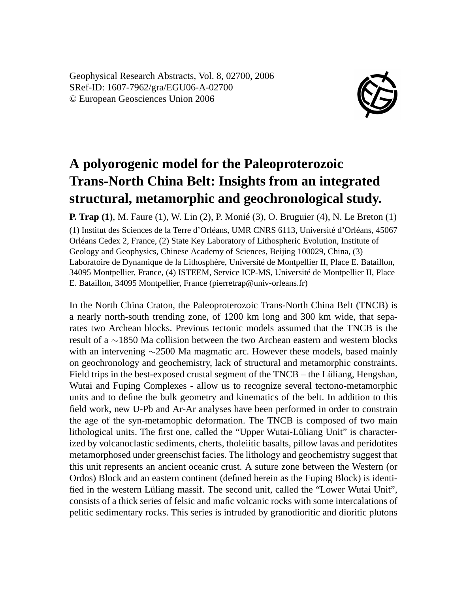Geophysical Research Abstracts, Vol. 8, 02700, 2006 SRef-ID: 1607-7962/gra/EGU06-A-02700 © European Geosciences Union 2006



## **A polyorogenic model for the Paleoproterozoic Trans-North China Belt: Insights from an integrated structural, metamorphic and geochronological study.**

**P. Trap (1)**, M. Faure (1), W. Lin (2), P. Monié (3), O. Bruguier (4), N. Le Breton (1) (1) Institut des Sciences de la Terre d'Orléans, UMR CNRS 6113, Université d'Orléans, 45067 Orléans Cedex 2, France, (2) State Key Laboratory of Lithospheric Evolution, Institute of Geology and Geophysics, Chinese Academy of Sciences, Beijing 100029, China, (3) Laboratoire de Dynamique de la Lithosphère, Université de Montpellier II, Place E. Bataillon, 34095 Montpellier, France, (4) ISTEEM, Service ICP-MS, Université de Montpellier II, Place E. Bataillon, 34095 Montpellier, France (pierretrap@univ-orleans.fr)

In the North China Craton, the Paleoproterozoic Trans-North China Belt (TNCB) is a nearly north-south trending zone, of 1200 km long and 300 km wide, that separates two Archean blocks. Previous tectonic models assumed that the TNCB is the result of a ∼1850 Ma collision between the two Archean eastern and western blocks with an intervening ∼2500 Ma magmatic arc. However these models, based mainly on geochronology and geochemistry, lack of structural and metamorphic constraints. Field trips in the best-exposed crustal segment of the TNCB – the Lüliang, Hengshan, Wutai and Fuping Complexes - allow us to recognize several tectono-metamorphic units and to define the bulk geometry and kinematics of the belt. In addition to this field work, new U-Pb and Ar-Ar analyses have been performed in order to constrain the age of the syn-metamophic deformation. The TNCB is composed of two main lithological units. The first one, called the "Upper Wutai-Lüliang Unit" is characterized by volcanoclastic sediments, cherts, tholeiitic basalts, pillow lavas and peridotites metamorphosed under greenschist facies. The lithology and geochemistry suggest that this unit represents an ancient oceanic crust. A suture zone between the Western (or Ordos) Block and an eastern continent (defined herein as the Fuping Block) is identified in the western Lüliang massif. The second unit, called the "Lower Wutai Unit", consists of a thick series of felsic and mafic volcanic rocks with some intercalations of pelitic sedimentary rocks. This series is intruded by granodioritic and dioritic plutons